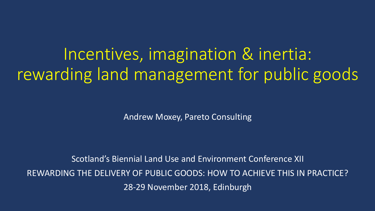## Incentives, imagination & inertia: rewarding land management for public goods

Andrew Moxey, Pareto Consulting

Scotland's Biennial Land Use and Environment Conference XII REWARDING THE DELIVERY OF PUBLIC GOODS: HOW TO ACHIEVE THIS IN PRACTICE? 28-29 November 2018, Edinburgh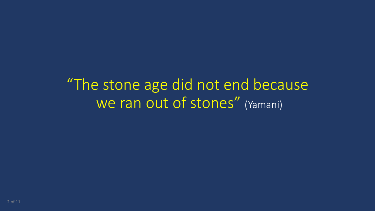"The stone age did not end because We ran out of stones" (Yamani)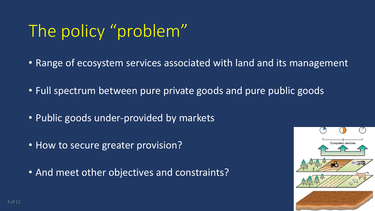# The policy "problem"

- Range of ecosystem services associated with land and its management
- Full spectrum between pure private goods and pure public goods
- Public goods under-provided by markets
- How to secure greater provision?
- And meet other objectives and constraints?

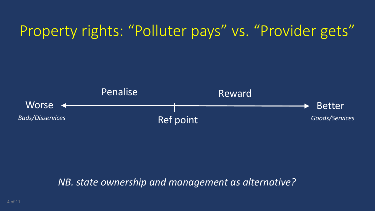#### Property rights: "Polluter pays" vs. "Provider gets"



#### *NB. state ownership and management as alternative?*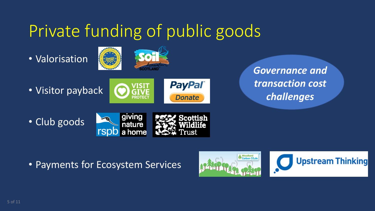# Private funding of public goods

• Valorisation



• Visitor payback



**Donate** 

*Governance and transaction cost challenges*

• Club goods



• Payments for Ecosystem Services



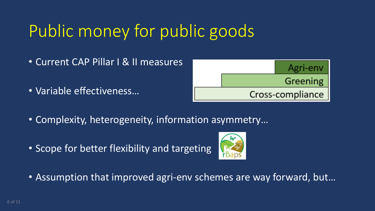# Public money for public goods

- Current CAP Pillar I & II measures
- Variable effectiveness…



- Complexity, heterogeneity, information asymmetry…
- Scope for better flexibility and targeting



• Assumption that improved agri-env schemes are way forward, but…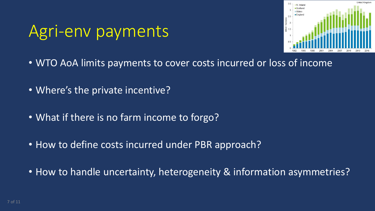## Agri-env payments



- WTO AoA limits payments to cover costs incurred or loss of income
- Where's the private incentive?
- What if there is no farm income to forgo?
- How to define costs incurred under PBR approach?
- How to handle uncertainty, heterogeneity & information asymmetries?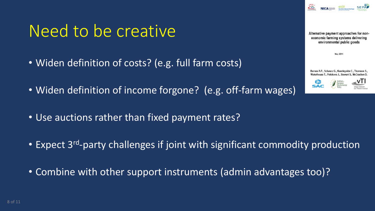### Need to be creative

- Widen definition of costs? (e.g. full farm costs)
- Widen definition of income forgone? (e.g. off-farm wages)
- Use auctions rather than fixed payment rates?
- Expect 3<sup>rd</sup>-party challenges if joint with significant commodity production
- Combine with other support instruments (admin advantages too)?

**May 2011** 

Alternative payment approaches for noneconomic farming systems delivering environmental public goods

Barnes A.P., Schwarz G., Keenleyside C., Thomson S., Waterhouse T., Polokova J., Stewart S., McCracken D.



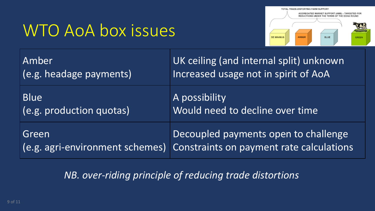## WTO AoA box issues



| Amber                           | UK ceiling (and internal split) unknown  |
|---------------------------------|------------------------------------------|
| (e.g. headage payments)         | Increased usage not in spirit of AoA     |
| <b>Blue</b>                     | A possibility                            |
| $  (e.g.$ production quotas)    | Would need to decline over time          |
| Green                           | Decoupled payments open to challenge     |
| (e.g. agri-environment schemes) | Constraints on payment rate calculations |

#### *NB. over-riding principle of reducing trade distortions*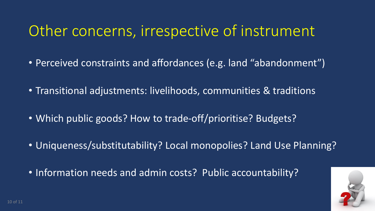#### Other concerns, irrespective of instrument

- Perceived constraints and affordances (e.g. land "abandonment")
- Transitional adjustments: livelihoods, communities & traditions
- Which public goods? How to trade-off/prioritise? Budgets?
- Uniqueness/substitutability? Local monopolies? Land Use Planning?
- Information needs and admin costs? Public accountability?